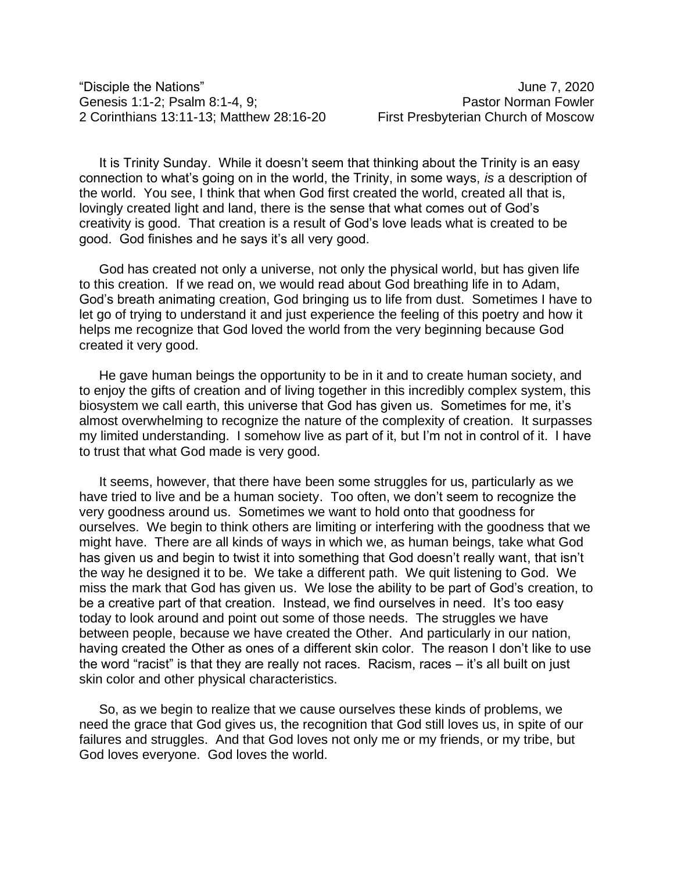"Disciple the Nations" June 7, 2020 Genesis 1:1-2; Psalm 8:1-4, 9; example and the example of the Pastor Norman Fowler 2 Corinthians 13:11-13; Matthew 28:16-20 First Presbyterian Church of Moscow

It is Trinity Sunday. While it doesn't seem that thinking about the Trinity is an easy connection to what's going on in the world, the Trinity, in some ways, *is* a description of the world. You see, I think that when God first created the world, created all that is, lovingly created light and land, there is the sense that what comes out of God's creativity is good. That creation is a result of God's love leads what is created to be good. God finishes and he says it's all very good.

God has created not only a universe, not only the physical world, but has given life to this creation. If we read on, we would read about God breathing life in to Adam, God's breath animating creation, God bringing us to life from dust. Sometimes I have to let go of trying to understand it and just experience the feeling of this poetry and how it helps me recognize that God loved the world from the very beginning because God created it very good.

He gave human beings the opportunity to be in it and to create human society, and to enjoy the gifts of creation and of living together in this incredibly complex system, this biosystem we call earth, this universe that God has given us. Sometimes for me, it's almost overwhelming to recognize the nature of the complexity of creation. It surpasses my limited understanding. I somehow live as part of it, but I'm not in control of it. I have to trust that what God made is very good.

It seems, however, that there have been some struggles for us, particularly as we have tried to live and be a human society. Too often, we don't seem to recognize the very goodness around us. Sometimes we want to hold onto that goodness for ourselves. We begin to think others are limiting or interfering with the goodness that we might have. There are all kinds of ways in which we, as human beings, take what God has given us and begin to twist it into something that God doesn't really want, that isn't the way he designed it to be. We take a different path. We quit listening to God. We miss the mark that God has given us. We lose the ability to be part of God's creation, to be a creative part of that creation. Instead, we find ourselves in need. It's too easy today to look around and point out some of those needs. The struggles we have between people, because we have created the Other. And particularly in our nation, having created the Other as ones of a different skin color. The reason I don't like to use the word "racist" is that they are really not races. Racism, races – it's all built on just skin color and other physical characteristics.

So, as we begin to realize that we cause ourselves these kinds of problems, we need the grace that God gives us, the recognition that God still loves us, in spite of our failures and struggles. And that God loves not only me or my friends, or my tribe, but God loves everyone. God loves the world.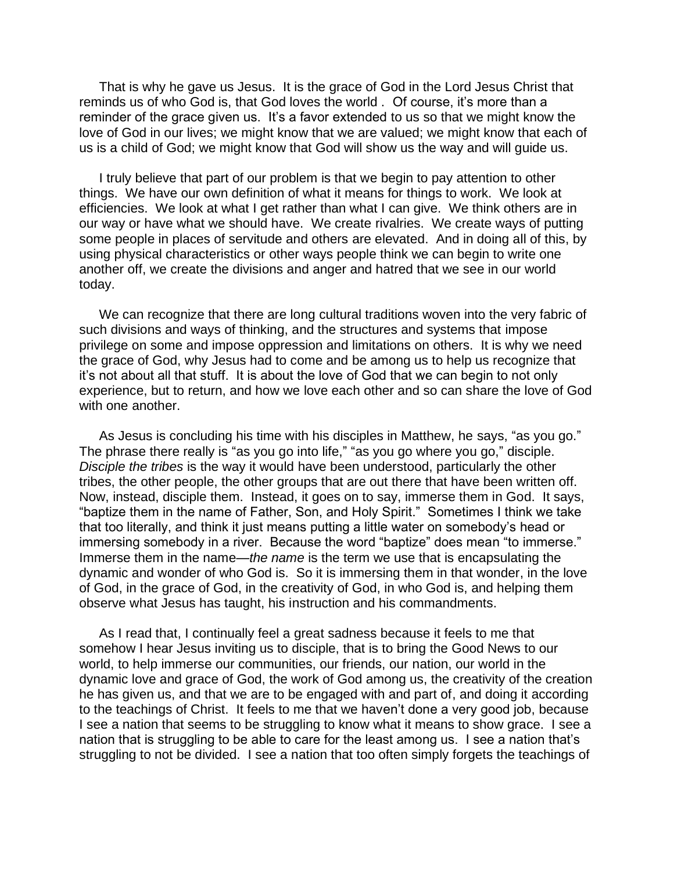That is why he gave us Jesus. It is the grace of God in the Lord Jesus Christ that reminds us of who God is, that God loves the world . Of course, it's more than a reminder of the grace given us. It's a favor extended to us so that we might know the love of God in our lives; we might know that we are valued; we might know that each of us is a child of God; we might know that God will show us the way and will guide us.

I truly believe that part of our problem is that we begin to pay attention to other things. We have our own definition of what it means for things to work. We look at efficiencies. We look at what I get rather than what I can give. We think others are in our way or have what we should have. We create rivalries. We create ways of putting some people in places of servitude and others are elevated. And in doing all of this, by using physical characteristics or other ways people think we can begin to write one another off, we create the divisions and anger and hatred that we see in our world today.

We can recognize that there are long cultural traditions woven into the very fabric of such divisions and ways of thinking, and the structures and systems that impose privilege on some and impose oppression and limitations on others. It is why we need the grace of God, why Jesus had to come and be among us to help us recognize that it's not about all that stuff. It is about the love of God that we can begin to not only experience, but to return, and how we love each other and so can share the love of God with one another.

As Jesus is concluding his time with his disciples in Matthew, he says, "as you go." The phrase there really is "as you go into life," "as you go where you go," disciple. *Disciple the tribes* is the way it would have been understood, particularly the other tribes, the other people, the other groups that are out there that have been written off. Now, instead, disciple them. Instead, it goes on to say, immerse them in God. It says, "baptize them in the name of Father, Son, and Holy Spirit." Sometimes I think we take that too literally, and think it just means putting a little water on somebody's head or immersing somebody in a river. Because the word "baptize" does mean "to immerse." Immerse them in the name—*the name* is the term we use that is encapsulating the dynamic and wonder of who God is. So it is immersing them in that wonder, in the love of God, in the grace of God, in the creativity of God, in who God is, and helping them observe what Jesus has taught, his instruction and his commandments.

As I read that, I continually feel a great sadness because it feels to me that somehow I hear Jesus inviting us to disciple, that is to bring the Good News to our world, to help immerse our communities, our friends, our nation, our world in the dynamic love and grace of God, the work of God among us, the creativity of the creation he has given us, and that we are to be engaged with and part of, and doing it according to the teachings of Christ. It feels to me that we haven't done a very good job, because I see a nation that seems to be struggling to know what it means to show grace. I see a nation that is struggling to be able to care for the least among us. I see a nation that's struggling to not be divided. I see a nation that too often simply forgets the teachings of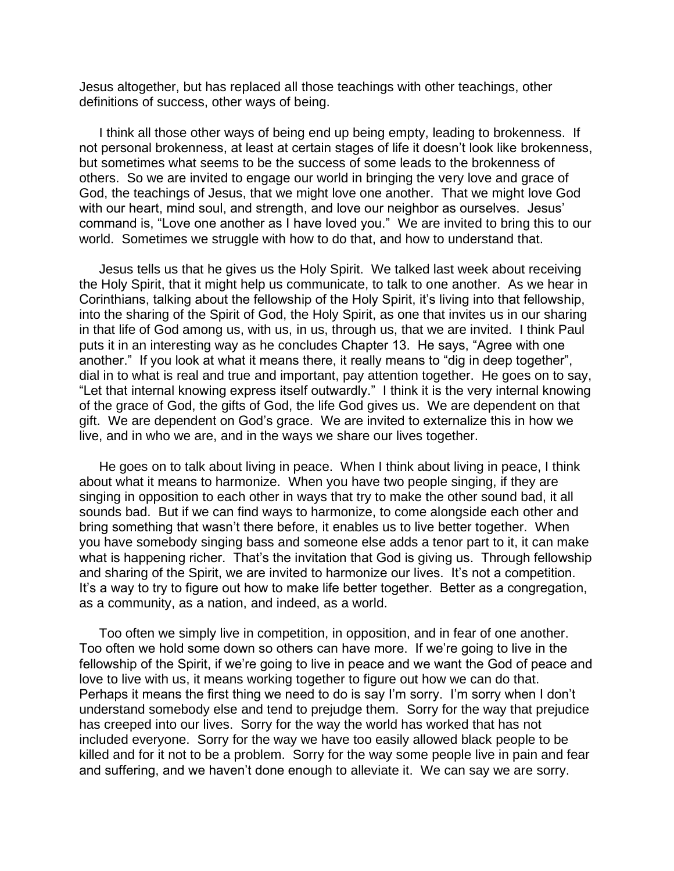Jesus altogether, but has replaced all those teachings with other teachings, other definitions of success, other ways of being.

I think all those other ways of being end up being empty, leading to brokenness. If not personal brokenness, at least at certain stages of life it doesn't look like brokenness, but sometimes what seems to be the success of some leads to the brokenness of others. So we are invited to engage our world in bringing the very love and grace of God, the teachings of Jesus, that we might love one another. That we might love God with our heart, mind soul, and strength, and love our neighbor as ourselves. Jesus' command is, "Love one another as I have loved you." We are invited to bring this to our world. Sometimes we struggle with how to do that, and how to understand that.

Jesus tells us that he gives us the Holy Spirit. We talked last week about receiving the Holy Spirit, that it might help us communicate, to talk to one another. As we hear in Corinthians, talking about the fellowship of the Holy Spirit, it's living into that fellowship, into the sharing of the Spirit of God, the Holy Spirit, as one that invites us in our sharing in that life of God among us, with us, in us, through us, that we are invited. I think Paul puts it in an interesting way as he concludes Chapter 13. He says, "Agree with one another." If you look at what it means there, it really means to "dig in deep together", dial in to what is real and true and important, pay attention together. He goes on to say, "Let that internal knowing express itself outwardly." I think it is the very internal knowing of the grace of God, the gifts of God, the life God gives us. We are dependent on that gift. We are dependent on God's grace. We are invited to externalize this in how we live, and in who we are, and in the ways we share our lives together.

He goes on to talk about living in peace. When I think about living in peace, I think about what it means to harmonize. When you have two people singing, if they are singing in opposition to each other in ways that try to make the other sound bad, it all sounds bad. But if we can find ways to harmonize, to come alongside each other and bring something that wasn't there before, it enables us to live better together. When you have somebody singing bass and someone else adds a tenor part to it, it can make what is happening richer. That's the invitation that God is giving us. Through fellowship and sharing of the Spirit, we are invited to harmonize our lives. It's not a competition. It's a way to try to figure out how to make life better together. Better as a congregation, as a community, as a nation, and indeed, as a world.

Too often we simply live in competition, in opposition, and in fear of one another. Too often we hold some down so others can have more. If we're going to live in the fellowship of the Spirit, if we're going to live in peace and we want the God of peace and love to live with us, it means working together to figure out how we can do that. Perhaps it means the first thing we need to do is say I'm sorry. I'm sorry when I don't understand somebody else and tend to prejudge them. Sorry for the way that prejudice has creeped into our lives. Sorry for the way the world has worked that has not included everyone. Sorry for the way we have too easily allowed black people to be killed and for it not to be a problem. Sorry for the way some people live in pain and fear and suffering, and we haven't done enough to alleviate it. We can say we are sorry.